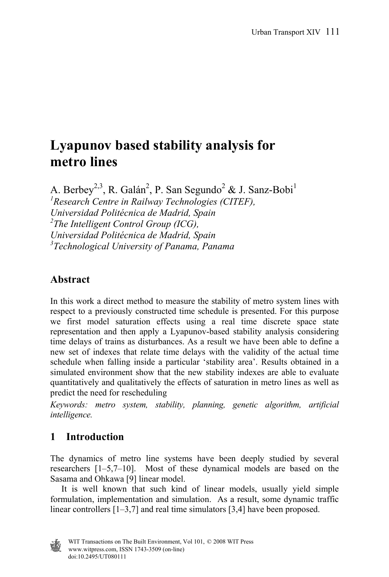# **Lyapunov based stability analysis for metro lines**

A. Berbey<sup>2,3</sup>, R. Galán<sup>2</sup>, P. San Segundo<sup>2</sup> & J. Sanz-Bobi<sup>1</sup> *1 Research Centre in Railway Technologies (CITEF), Universidad Politécnica de Madrid, Spain 2 The Intelligent Control Group (ICG), Universidad Politécnica de Madrid, Spain 3 Technological University of Panama, Panama*

# **Abstract**

In this work a direct method to measure the stability of metro system lines with respect to a previously constructed time schedule is presented. For this purpose we first model saturation effects using a real time discrete space state representation and then apply a Lyapunov-based stability analysis considering time delays of trains as disturbances. As a result we have been able to define a new set of indexes that relate time delays with the validity of the actual time schedule when falling inside a particular 'stability area'. Results obtained in a simulated environment show that the new stability indexes are able to evaluate quantitatively and qualitatively the effects of saturation in metro lines as well as predict the need for rescheduling

*Keywords: metro system, stability, planning, genetic algorithm, artificial intelligence.* 

# **1 Introduction**

The dynamics of metro line systems have been deeply studied by several researchers [1–5,7–10]. Most of these dynamical models are based on the Sasama and Ohkawa [9] linear model.

 It is well known that such kind of linear models, usually yield simple formulation, implementation and simulation. As a result, some dynamic traffic linear controllers [1–3,7] and real time simulators [3,4] have been proposed.

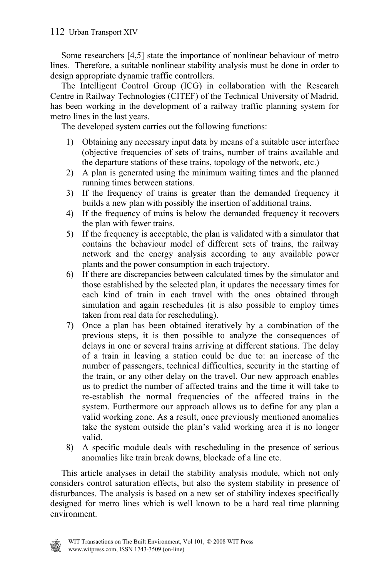Some researchers [4,5] state the importance of nonlinear behaviour of metro lines. Therefore, a suitable nonlinear stability analysis must be done in order to design appropriate dynamic traffic controllers.

 The Intelligent Control Group (ICG) in collaboration with the Research Centre in Railway Technologies (CITEF) of the Technical University of Madrid, has been working in the development of a railway traffic planning system for metro lines in the last years.

The developed system carries out the following functions:

- 1) Obtaining any necessary input data by means of a suitable user interface (objective frequencies of sets of trains, number of trains available and the departure stations of these trains, topology of the network, etc.)
- 2) A plan is generated using the minimum waiting times and the planned running times between stations.
- 3) If the frequency of trains is greater than the demanded frequency it builds a new plan with possibly the insertion of additional trains.
- 4) If the frequency of trains is below the demanded frequency it recovers the plan with fewer trains.
- 5) If the frequency is acceptable, the plan is validated with a simulator that contains the behaviour model of different sets of trains, the railway network and the energy analysis according to any available power plants and the power consumption in each trajectory.
- 6) If there are discrepancies between calculated times by the simulator and those established by the selected plan, it updates the necessary times for each kind of train in each travel with the ones obtained through simulation and again reschedules (it is also possible to employ times taken from real data for rescheduling).
- 7) Once a plan has been obtained iteratively by a combination of the previous steps, it is then possible to analyze the consequences of delays in one or several trains arriving at different stations. The delay of a train in leaving a station could be due to: an increase of the number of passengers, technical difficulties, security in the starting of the train, or any other delay on the travel. Our new approach enables us to predict the number of affected trains and the time it will take to re-establish the normal frequencies of the affected trains in the system. Furthermore our approach allows us to define for any plan a valid working zone. As a result, once previously mentioned anomalies take the system outside the plan's valid working area it is no longer valid.
- 8) A specific module deals with rescheduling in the presence of serious anomalies like train break downs, blockade of a line etc.

 This article analyses in detail the stability analysis module, which not only considers control saturation effects, but also the system stability in presence of disturbances. The analysis is based on a new set of stability indexes specifically designed for metro lines which is well known to be a hard real time planning environment.

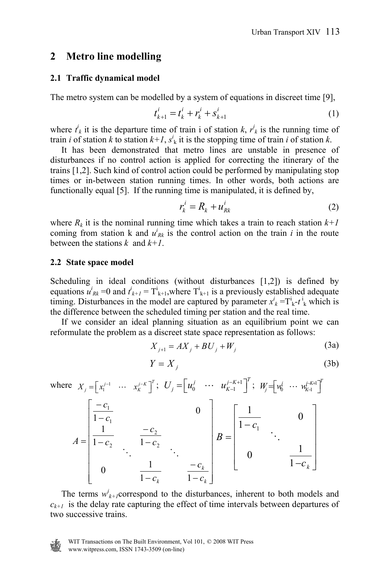#### **2 Metro line modelling**

#### **2.1 Traffic dynamical model**

The metro system can be modelled by a system of equations in discreet time [9],

$$
t_{k+1}^i = t_k^i + r_k^i + s_{k+1}^i \tag{1}
$$

where  $t^i_k$  it is the departure time of train i of station *k*,  $r^i_k$  is the running time of train *i* of station *k* to station  $k+1$ ,  $s^i_k$  it is the stopping time of train *i* of station *k*.

 It has been demonstrated that metro lines are unstable in presence of disturbances if no control action is applied for correcting the itinerary of the trains [1,2]. Such kind of control action could be performed by manipulating stop times or in-between station running times. In other words, both actions are functionally equal [5]. If the running time is manipulated, it is defined by,

$$
r_k^i = R_k + u_{Rk}^i \tag{2}
$$

where  $R_k$  it is the nominal running time which takes a train to reach station  $k+1$ coming from station k and  $u^i_{Rk}$  is the control action on the train *i* in the route between the stations *k* and *k+1*.

#### **2.2 State space model**

Scheduling in ideal conditions (without disturbances [1,2]) is defined by equations  $u^i_{Rk}$  =0 and  $t^i_{k+1} = T^i_{k+1}$ , where  $T^i_{k+1}$  is a previously established adequate timing. Disturbances in the model are captured by parameter  $x^i_k = \Gamma^i_k - t^i_k$  which is the difference between the scheduled timing per station and the real time.

 If we consider an ideal planning situation as an equilibrium point we can reformulate the problem as a discreet state space representation as follows:

$$
X_{j+1} = AX_j + BU_j + W_j
$$
 (3a)

$$
Y = X_j \tag{3b}
$$

where 
$$
X_j = [x_1^{j-1} \cdots x_k^{j-k}]^T
$$
;  $U_j = [u_0^j \cdots u_{K-1}^{j-K+1}]^T$ ;  $W_j = [w_0^j \cdots w_{K-1}^{j-K+1}]^T$   
\n
$$
A = \begin{bmatrix} \frac{-c_1}{1-c_1} & 0 \\ \frac{1}{1-c_2} & \frac{-c_2}{1-c_2} \\ 0 & \frac{1}{1-c_k} & \frac{-c_k}{1-c_k} \end{bmatrix} B = \begin{bmatrix} \frac{1}{1-c_1} & 0 \\ 0 & \frac{1}{1-c_k} \end{bmatrix}
$$

The terms  $w_{k+1}^i$  correspond to the disturbances, inherent to both models and  $c_{k+1}$  is the delay rate capturing the effect of time intervals between departures of two successive trains.

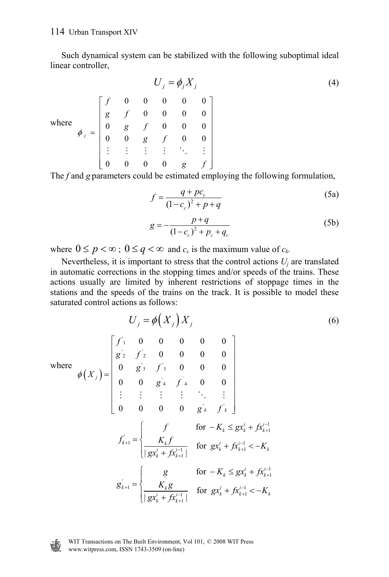Such dynamical system can be stabilized with the following suboptimal ideal linear controller,

$$
U_j = \phi_j X_j
$$
\n(4)

\nwhere

\n
$$
\phi_j = \begin{bmatrix}\nf & 0 & 0 & 0 & 0 & 0 \\
g & f & 0 & 0 & 0 & 0 \\
0 & g & f & 0 & 0 & 0 \\
0 & 0 & g & f & 0 & 0 \\
\vdots & \vdots & \vdots & \vdots & \ddots & \vdots \\
0 & 0 & 0 & 0 & g & f\n\end{bmatrix}
$$

The *f* and *g* parameters could be estimated employing the following formulation,

$$
f = \frac{q + pc_c}{(1 - c_c)^2 + p + q}
$$
 (5a)

$$
g = -\frac{p+q}{(1-c_c)^2 + p_c + q_c}
$$
 (5b)

where  $0 \le p < \infty$ ;  $0 \le q < \infty$  and  $c_c$  is the maximum value of  $c_k$ .

Nevertheless, it is important to stress that the control actions  $U_i$  are translated in automatic corrections in the stopping times and/or speeds of the trains. These actions usually are limited by inherent restrictions of stoppage times in the stations and the speeds of the trains on the track. It is possible to model these saturated control actions as follows:

$$
U_{j} = \phi\left(X_{j}\right)X_{j}
$$
\nwhere

\n
$$
\phi\left(X_{j}\right) = \begin{bmatrix}\nf_{1} & 0 & 0 & 0 & 0 & 0 \\
g_{2} & f_{2} & 0 & 0 & 0 & 0 \\
0 & g_{3} & f_{3} & 0 & 0 & 0 \\
0 & 0 & g_{4} & f_{4} & 0 & 0 \\
\vdots & \vdots & \vdots & \vdots & \ddots & \vdots \\
0 & 0 & 0 & 0 & g_{k} & f_{k}\n\end{bmatrix}
$$
\n
$$
f_{k+1} = \begin{cases}\nf_{k} & \text{for } -K_{k} \leq g x_{k}^{i} + f x_{k+1}^{i-1} \\
\frac{K_{k}f}{|g x_{k}^{i} + f x_{k+1}^{i-1}|} & \text{for } g x_{k}^{i} + f x_{k+1}^{i-1} < -K_{k}\n\end{cases}
$$
\n
$$
g_{k+1} = \begin{cases}\ng_{k} & \text{for } -K_{k} \leq g x_{k}^{i} + f x_{k+1}^{i-1} \\
\frac{K_{k}g}{|g x_{k}^{i} + f x_{k+1}^{i-1}|} & \text{for } g x_{k}^{i} + f x_{k+1}^{i-1} < -K_{k}\n\end{cases}
$$
\n(6)



WIT Transactions on The Built Environment, Vol 101, © 2008 WIT Press WIT Transactions on The Daniel Community<br>www.witpress.com, ISSN 1743-3509 (on-line)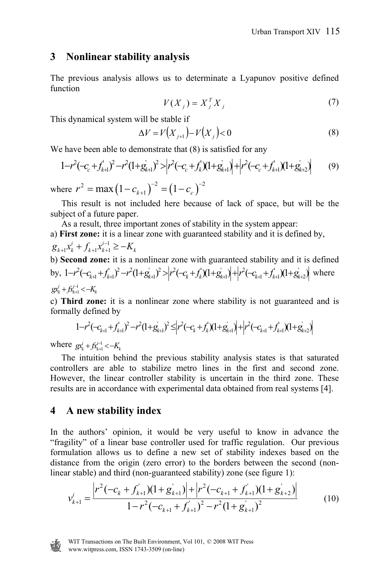#### **3 Nonlinear stability analysis**

The previous analysis allows us to determinate a Lyapunov positive defined function

$$
V(X_j) = X_j^T X_j \tag{7}
$$

This dynamical system will be stable if

$$
\Delta V = V(X_{j+1}) - V(X_j) < 0 \tag{8}
$$

We have been able to demonstrate that  $(8)$  is satisfied for any

$$
1-r^{2}(-c_{c}+f_{k+1}^{2})^{2}-r^{2}(1+g_{k+1}^{2})^{2}>\left|r^{2}(-c_{c}+f_{k}^{2})(1+g_{k+1}^{2})\right|+\left|r^{2}(-c_{c}+f_{k+1}^{2})(1+g_{k+2}^{2})\right|
$$
(9)

where  $r^2 = \max (1 - c_{k+1})^{-2} = (1 - c_c)^{-2}$ 

 This result is not included here because of lack of space, but will be the subject of a future paper.

 As a result, three important zones of stability in the system appear: a) **First zone:** it is a linear zone with guaranteed stability and it is defined by,  $g_{k+1}x_k^i + f_{k+1}x_{k+1}^{i-1} \geq -K_k$ 

b) Second zone: it is a nonlinear zone with guaranteed stability and it is defined  
by, 
$$
1-r^2(-c_{k+1}+f_{k+1}^2)^2-r^2(1+g_{k+1}^2)^2 > |r^2(-c_k+f_k)(1+g_{k+1}^2)|+|r^2(-c_{k+1}+f_{k+1}^1)(1+g_{k+2}^2)
$$
 where  
 $gx_k^j + f(x_{k+1}^{j-1} < -K_k$ 

c) **Third zone:** it is a nonlinear zone where stability is not guaranteed and is formally defined by

$$
1-r^2(-c_{k+1}+f_{k+1}^{\prime})^2-r^2(1+g_{k+1}^{\prime})^2\leq \Big|r^2(-c_k+f_k^{\prime})(1+g_{k+1}^{\prime})\Big|+\Big|r^2(-c_{k+1}+f_{k+1}^{\prime})(1+g_{k+2}^{\prime})\Big|
$$

where  $g x_k^j + f x_{k+1}^{j-1} < -K_k$ 

 The intuition behind the previous stability analysis states is that saturated controllers are able to stabilize metro lines in the first and second zone. However, the linear controller stability is uncertain in the third zone. These results are in accordance with experimental data obtained from real systems [4].

#### **4 A new stability index**

In the authors' opinion, it would be very useful to know in advance the "fragility" of a linear base controller used for traffic regulation. Our previous formulation allows us to define a new set of stability indexes based on the distance from the origin (zero error) to the borders between the second (nonlinear stable) and third (non-guaranteed stability) zone (see figure 1):

$$
v_{k+1}^i = \frac{\left|r^2(-c_k + f_{k+1}^i)(1+g_{k+1}^i)\right| + \left|r^2(-c_{k+1} + f_{k+1}^i)(1+g_{k+2}^i)\right|}{1 - r^2(-c_{k+1} + f_{k+1}^i)^2 - r^2(1+g_{k+1}^i)^2}
$$
(10)

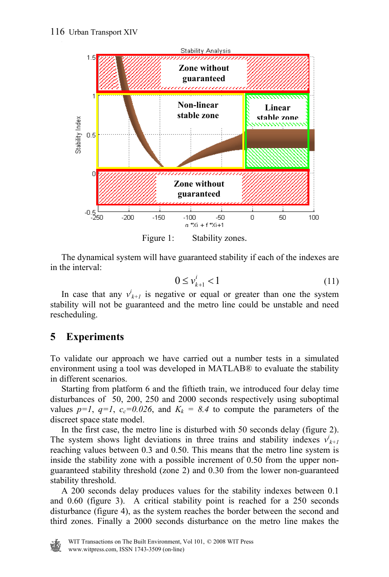

 The dynamical system will have guaranteed stability if each of the indexes are in the interval:

$$
0 \le v_{k+1}^i < 1 \tag{11}
$$

In case that any  $v^i_{k+1}$  is negative or equal or greater than one the system stability will not be guaranteed and the metro line could be unstable and need rescheduling.

# **5 Experiments**

To validate our approach we have carried out a number tests in a simulated environment using a tool was developed in MATLAB® to evaluate the stability in different scenarios.

 Starting from platform 6 and the fiftieth train, we introduced four delay time disturbances of 50, 200, 250 and 2000 seconds respectively using suboptimal values  $p=1$ ,  $q=1$ ,  $c_c=0.026$ , and  $K_k = 8.4$  to compute the parameters of the discreet space state model.

 In the first case, the metro line is disturbed with 50 seconds delay (figure 2). The system shows light deviations in three trains and stability indexes  $v'_{k+1}$ reaching values between 0.3 and 0.50. This means that the metro line system is inside the stability zone with a possible increment of 0.50 from the upper nonguaranteed stability threshold (zone 2) and 0.30 from the lower non-guaranteed stability threshold.

 A 200 seconds delay produces values for the stability indexes between 0.1 and 0.60 (figure 3). A critical stability point is reached for a 250 seconds disturbance (figure 4), as the system reaches the border between the second and third zones. Finally a 2000 seconds disturbance on the metro line makes the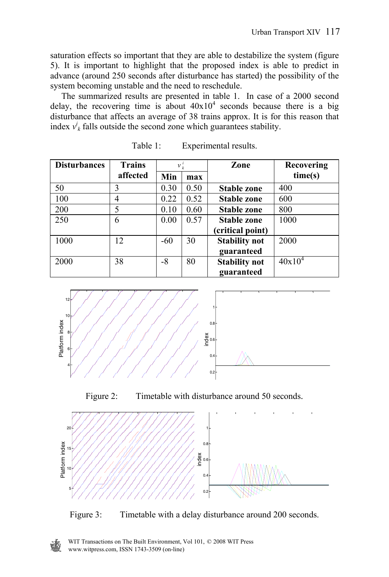saturation effects so important that they are able to destabilize the system (figure 5). It is important to highlight that the proposed index is able to predict in advance (around 250 seconds after disturbance has started) the possibility of the system becoming unstable and the need to reschedule.

 The summarized results are presented in table 1. In case of a 2000 second delay, the recovering time is about  $40x10^4$  seconds because there is a big disturbance that affects an average of 38 trains approx. It is for this reason that index  $v_k^i$  falls outside the second zone which guarantees stability.

| <b>Disturbances</b> | <b>Trains</b> | $v_k^i$ |      | Zone                 | Recovering |
|---------------------|---------------|---------|------|----------------------|------------|
|                     | affected      | Min     | max  |                      | time(s)    |
| 50                  | 3             | 0.30    | 0.50 | Stable zone          | 400        |
| 100                 | 4             | 0.22    | 0.52 | <b>Stable zone</b>   | 600        |
| 200                 | 5             | 0.10    | 0.60 | <b>Stable zone</b>   | 800        |
| 250                 | 6             | 0.00    | 0.57 | <b>Stable zone</b>   | 1000       |
|                     |               |         |      | (critical point)     |            |
| 1000                | 12            | $-60$   | 30   | <b>Stability not</b> | 2000       |
|                     |               |         |      | guaranteed           |            |
| 2000                | 38            | -8      | 80   | <b>Stability not</b> | $40x10^4$  |
|                     |               |         |      | guaranteed           |            |

| Table 1:<br>Experimental results. |
|-----------------------------------|
|-----------------------------------|







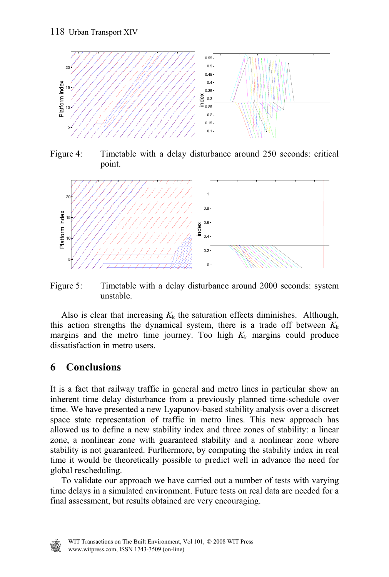

Figure 4: Timetable with a delay disturbance around 250 seconds: critical point.



Figure 5: Timetable with a delay disturbance around 2000 seconds: system unstable.

Also is clear that increasing  $K_k$  the saturation effects diminishes. Although, this action strengths the dynamical system, there is a trade off between  $K_k$ margins and the metro time journey. Too high  $K_k$  margins could produce dissatisfaction in metro users.

## **6 Conclusions**

It is a fact that railway traffic in general and metro lines in particular show an inherent time delay disturbance from a previously planned time-schedule over time. We have presented a new Lyapunov-based stability analysis over a discreet space state representation of traffic in metro lines. This new approach has allowed us to define a new stability index and three zones of stability: a linear zone, a nonlinear zone with guaranteed stability and a nonlinear zone where stability is not guaranteed. Furthermore, by computing the stability index in real time it would be theoretically possible to predict well in advance the need for global rescheduling.

 To validate our approach we have carried out a number of tests with varying time delays in a simulated environment. Future tests on real data are needed for a final assessment, but results obtained are very encouraging.